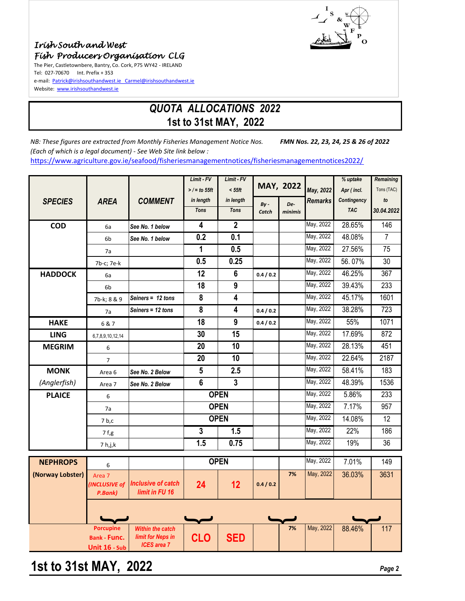



## *QUOTA ALLOCATIONS 2022* **1st to 31st MAY, 2022**

*NB: These figures are extracted from Monthly Fisheries Management Notice Nos. FMN Nos. 22, 23, 24, 25 & 26 of 2022 (Each of which is a legal document) - See Web Site link below :* https://www.agriculture.gov.ie/seafood/fisheriesmanagementnotices/fisheriesmanagementnotices2022/

|                  |                                |                                                     | Limit - FV      | Limit - FV              |                 |                |                | % uptake    | <b>Remaining</b> |
|------------------|--------------------------------|-----------------------------------------------------|-----------------|-------------------------|-----------------|----------------|----------------|-------------|------------------|
|                  |                                |                                                     | $>$ / = to 55ft | $< 55$ ft               |                 | MAY, 2022      | May, 2022      | Apr (incl.  | Tons (TAC)       |
| <b>SPECIES</b>   | <b>AREA</b>                    | <b>COMMENT</b>                                      | in length       | in length               |                 |                | <b>Remarks</b> | Contingency | to               |
|                  |                                |                                                     | <b>Tons</b>     | <b>Tons</b>             | $By -$<br>Catch | De-<br>minimis |                | <b>TAC</b>  | 30.04.2022       |
|                  |                                |                                                     |                 |                         |                 |                |                |             |                  |
| <b>COD</b>       | 6a                             | See No. 1 below                                     | $\overline{4}$  | $\overline{2}$          |                 |                | May, 2022      | 28.65%      | 146              |
|                  | 6 <sub>b</sub>                 | See No. 1 below                                     | 0.2             | 0.1                     |                 |                | May, 2022      | 48.08%      | 7                |
|                  | 7a                             |                                                     | $\mathbf{1}$    | 0.5                     |                 |                | May, 2022      | 27.56%      | 75               |
|                  | 7b-c; 7e-k                     |                                                     | 0.5             | 0.25                    |                 |                | May, 2022      | 56.07%      | 30               |
| <b>HADDOCK</b>   | 6a                             |                                                     | 12              | $6\phantom{1}$          | 0.4 / 0.2       |                | May, 2022      | 46.25%      | 367              |
|                  | 6 <sub>b</sub>                 |                                                     | 18              | 9                       |                 |                | May, 2022      | 39.43%      | 233              |
|                  | 7b-k; 8 & 9                    | Seiners = 12 tons                                   | 8               | $\overline{\mathbf{4}}$ |                 |                | May, 2022      | 45.17%      | 1601             |
|                  | 7a                             | Seiners = 12 tons                                   | 8               | $\overline{\mathbf{4}}$ | 0.4 / 0.2       |                | May, 2022      | 38.28%      | 723              |
| <b>HAKE</b>      | 6 & 7                          |                                                     | 18              | 9                       | 0.4 / 0.2       |                | May, 2022      | 55%         | 1071             |
| <b>LING</b>      | 6,7,8,9,10,12,14               |                                                     | 30              | 15                      |                 |                | May, 2022      | 17.69%      | 872              |
| <b>MEGRIM</b>    | 6                              |                                                     | 20              | 10                      |                 |                | May, 2022      | 28.13%      | 451              |
|                  | $\overline{7}$                 |                                                     | 20              | 10                      |                 |                | May, 2022      | 22.64%      | 2187             |
| <b>MONK</b>      | Area <sub>6</sub>              | See No. 2 Below                                     | $5\phantom{.0}$ | 2.5                     |                 |                | May, 2022      | 58.41%      | 183              |
| (Anglerfish)     | Area 7                         | See No. 2 Below                                     | 6               | 3                       |                 |                | May, 2022      | 48.39%      | 1536             |
| <b>PLAICE</b>    | 6                              |                                                     |                 | <b>OPEN</b>             |                 |                | May, 2022      | 5.86%       | 233              |
|                  | 7a                             |                                                     |                 | <b>OPEN</b>             |                 |                | May, 2022      | 7.17%       | 957              |
|                  | 7 <sub>b,c</sub>               |                                                     |                 | <b>OPEN</b>             |                 |                | May, 2022      | 14.08%      | $\overline{12}$  |
|                  | 7 f,g                          |                                                     | $\overline{3}$  | 1.5                     |                 |                | May, 2022      | 22%         | 186              |
|                  | 7 h,j,k                        |                                                     | 1.5             | 0.75                    |                 |                | May, 2022      | 19%         | 36               |
|                  |                                |                                                     |                 |                         |                 |                |                |             |                  |
| <b>NEPHROPS</b>  | 6                              |                                                     |                 | <b>OPEN</b>             |                 |                | May, 2022      | 7.01%       | 149              |
| (Norway Lobster) | Area <sub>7</sub>              |                                                     |                 |                         |                 | 7%             | May, 2022      | 36.03%      | 3631             |
|                  | <b>INCLUSIVE of</b><br>P.Bank) | <b>Inclusive of catch</b><br>limit in FU 16         | 24              | 12                      | 0.4 / 0.2       |                |                |             |                  |
|                  |                                |                                                     |                 |                         |                 |                |                |             |                  |
|                  |                                |                                                     |                 |                         |                 |                |                |             |                  |
|                  |                                |                                                     |                 |                         |                 |                |                |             |                  |
|                  | <b>Porcupine</b>               | <b>Within the catch</b><br><b>limit for Neps in</b> |                 |                         |                 | 7%             | May, 2022      | 88.46%      | 117              |
|                  | <b>Bank - Func.</b>            | <b>ICES</b> area 7                                  | <b>CLO</b>      | <b>SED</b>              |                 |                |                |             |                  |
|                  | Unit 16 - Sub                  |                                                     |                 |                         |                 |                |                |             |                  |

# **1st to 31st MAY, 2022** *Page 2*